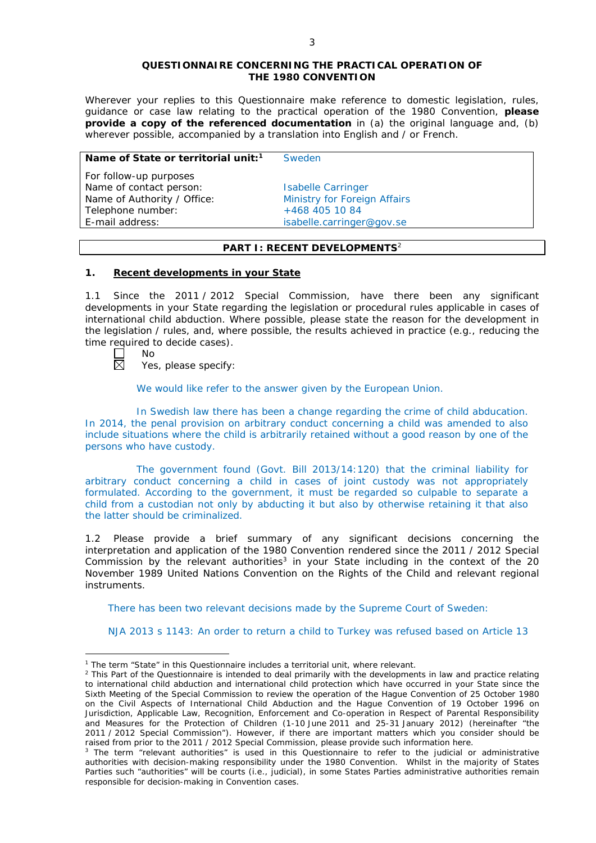#### **QUESTIONNAIRE CONCERNING THE PRACTICAL OPERATION OF THE 1980 CONVENTION**

*Wherever your replies to this Questionnaire make reference to domestic legislation, rules, guidance or case law relating to the practical operation of the 1980 Convention, please provide a copy of the referenced documentation in (a) the original language and, (b) wherever possible, accompanied by a translation into English and / or French.* 

### **Name of State or territorial unit:<sup>1</sup> Sweden**

*For follow-up purposes* Name of contact person: Isabelle Carringer Name of Authority / Office: Ministry for Foreign Affairs Telephone number:  $+4684051084$ 

E-mail address: isabelle.carringer@gov.se

## **PART I: RECENT DEVELOPMENTS**<sup>2</sup>

## **1. Recent developments in your State**

1.1 Since the 2011 / 2012 Special Commission, have there been any significant developments in your State regarding the legislation or procedural rules applicable in cases of international child abduction. Where possible, please state the reason for the development in the legislation / rules, and, where possible, the results achieved in practice (*e.g.*, reducing the time required to decide cases).

No 岗

<u>.</u>

Yes, please specify:

We would like refer to the answer given by the European Union.

In Swedish law there has been a change regarding the crime of child abducation. In 2014, the penal provision on arbitrary conduct concerning a child was amended to also include situations where the child is arbitrarily retained without a good reason by one of the persons who have custody.

The government found (Govt. Bill 2013/14:120) that the criminal liability for arbitrary conduct concerning a child in cases of joint custody was not appropriately formulated. According to the government, it must be regarded so culpable to separate a child from a custodian not only by abducting it but also by otherwise retaining it that also the latter should be criminalized.

1.2 Please provide a brief summary of any significant decisions concerning the interpretation and application of the 1980 Convention rendered since the 2011 / 2012 Special Commission by the relevant authorities<sup>3</sup> in your State including in the context of the 20 November 1989 United Nations Convention on the Rights of the Child and relevant regional instruments.

There has been two relevant decisions made by the Supreme Court of Sweden:

NJA 2013 s 1143: An order to return a child to Turkey was refused based on Article 13

<sup>&</sup>lt;sup>1</sup> The term "State" in this Questionnaire includes a territorial unit, where relevant.

 $<sup>2</sup>$  This Part of the Questionnaire is intended to deal primarily with the developments in law and practice relating</sup> to international child abduction and international child protection which have occurred in your State since the Sixth Meeting of the Special Commission to review the operation of the *Hague Convention of 25 October 1980 on the Civil Aspects of International Child Abduction* and the *Hague Convention of 19 October 1996 on Jurisdiction, Applicable Law, Recognition, Enforcement and Co-operation in Respect of Parental Responsibility and Measures for the Protection of Children* (1-10 June 2011 and 25-31 January 2012) (hereinafter "the 2011 / 2012 Special Commission"). However, if there are important matters which you consider should be raised from *prior to* the 2011 / 2012 Special Commission, please provide such information here.

<sup>&</sup>lt;sup>3</sup> The term "relevant authorities" is used in this Questionnaire to refer to the judicial or administrative authorities with decision-making responsibility under the 1980 Convention. Whilst in the majority of States Parties such "authorities" will be courts (*i.e.*, judicial), in some States Parties administrative authorities remain responsible for decision-making in Convention cases.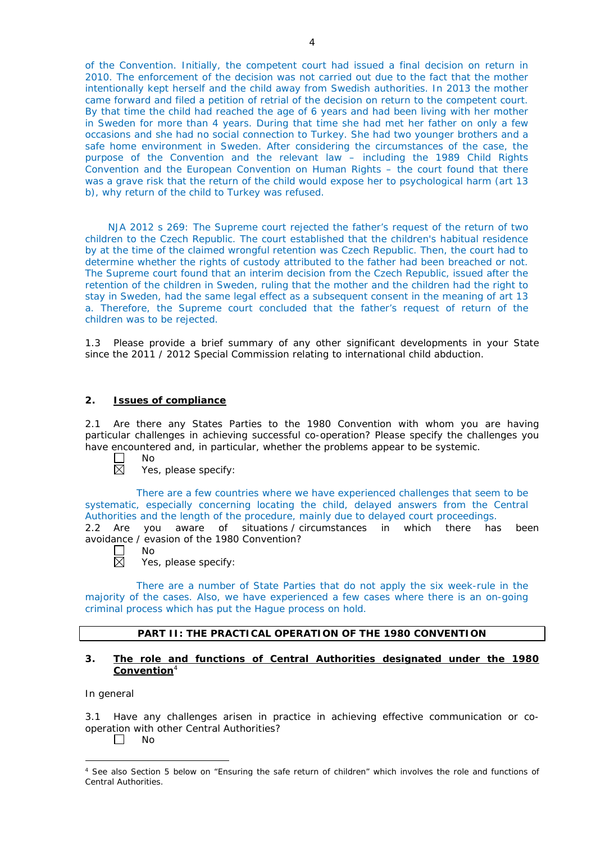of the Convention. Initially, the competent court had issued a final decision on return in 2010. The enforcement of the decision was not carried out due to the fact that the mother intentionally kept herself and the child away from Swedish authorities. In 2013 the mother came forward and filed a petition of retrial of the decision on return to the competent court. By that time the child had reached the age of 6 years and had been living with her mother in Sweden for more than 4 years. During that time she had met her father on only a few occasions and she had no social connection to Turkey. She had two younger brothers and a safe home environment in Sweden. After considering the circumstances of the case, the purpose of the Convention and the relevant law – including the 1989 Child Rights Convention and the European Convention on Human Rights – the court found that there was a grave risk that the return of the child would expose her to psychological harm (art 13 b), why return of the child to Turkey was refused.

NJA 2012 s 269: The Supreme court rejected the father's request of the return of two children to the Czech Republic. The court established that the children's habitual residence by at the time of the claimed wrongful retention was Czech Republic. Then, the court had to determine whether the rights of custody attributed to the father had been breached or not. The Supreme court found that an interim decision from the Czech Republic, issued after the retention of the children in Sweden, ruling that the mother and the children had the right to stay in Sweden, had the same legal effect as a subsequent consent in the meaning of art 13 a. Therefore, the Supreme court concluded that the father's request of return of the children was to be rejected.

1.3 Please provide a brief summary of any other significant developments in your State since the 2011 / 2012 Special Commission relating to international child abduction.

## **2. Issues of compliance**

2.1 Are there any States Parties to the 1980 Convention with whom you are having particular challenges in achieving successful co-operation? Please specify the challenges you have encountered and, in particular, whether the problems appear to be systemic.

- П No  $\overline{\boxtimes}$ 
	- Yes, please specify:

There are a few countries where we have experienced challenges that seem to be systematic, especially concerning locating the child, delayed answers from the Central Authorities and the length of the procedure, mainly due to delayed court proceedings.

2.2 Are you aware of situations / circumstances in which there has been avoidance / evasion of the 1980 Convention?

- П No  $\boxtimes$ 
	- Yes, please specify:

There are a number of State Parties that do not apply the six week-rule in the majority of the cases. Also, we have experienced a few cases where there is an on-going criminal process which has put the Hague process on hold.

## **PART II: THE PRACTICAL OPERATION OF THE 1980 CONVENTION**

## **3. The role and functions of Central Authorities designated under the 1980 Convention**<sup>4</sup>

## *In general*

-

3.1 Have any challenges arisen in practice in achieving effective communication or cooperation with other Central Authorities?

 $\Box$ No

<sup>&</sup>lt;sup>4</sup> See also Section 5 below on "Ensuring the safe return of children" which involves the role and functions of Central Authorities.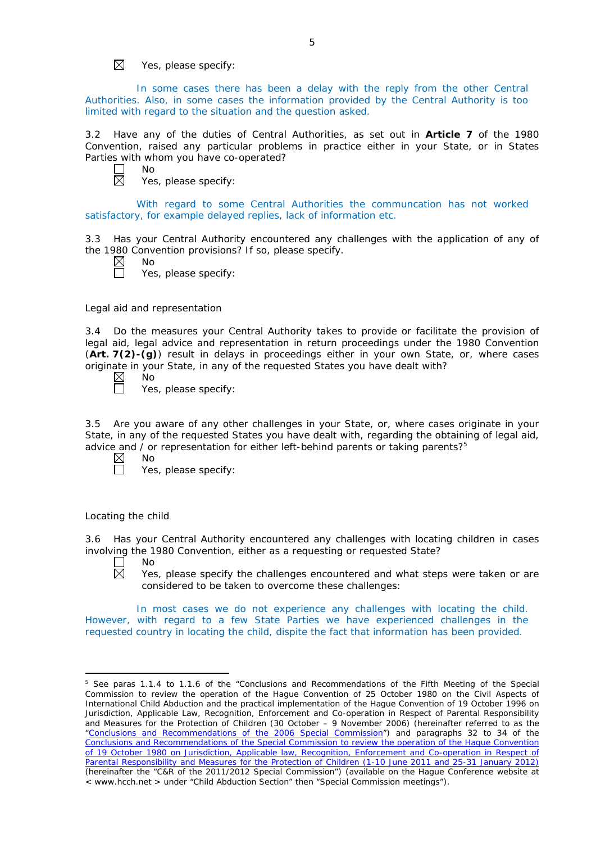$\boxtimes$ Yes, please specify:

In some cases there has been a delay with the reply from the other Central Authorities. Also, in some cases the information provided by the Central Authority is too limited with regard to the situation and the question asked.

3.2 Have any of the duties of Central Authorities, as set out in **Article 7** of the 1980 Convention, raised any particular problems in practice either in your State, or in States Parties with whom you have co-operated?

 $\Box$ No  $\boxtimes$ 

Yes, please specify:

With regard to some Central Authorities the communcation has not worked satisfactory, for example delayed replies, lack of information etc.

3.3 Has your Central Authority encountered any challenges with the application of any of the 1980 Convention provisions? If so, please specify.

- $\boxtimes$ 
	- Yes, please specify:

*Legal aid and representation*

No

3.4 Do the measures your Central Authority takes to provide or facilitate the provision of legal aid, legal advice and representation in return proceedings under the 1980 Convention (**Art. 7(2)-(g)**) result in delays in proceedings either in your own State, or, where cases originate in your State, in any of the requested States you have dealt with?<br>  $\boxtimes$  No<br>  $\Box$  Yes, please specify:

No

Yes, please specify:

3.5 Are you aware of any other challenges in your State, or, where cases originate in your State, in any of the requested States you have dealt with, regarding the obtaining of legal aid, advice and / or representation for either left-behind parents or taking parents?<sup>5</sup>

 $\boxtimes$ No

Yes, please specify:

## *Locating the child*

3.6 Has your Central Authority encountered any challenges with locating children in cases involving the 1980 Convention, either as a requesting or requested State?

No  $\boxtimes$ 

<u>.</u>

Yes, please specify the challenges encountered and what steps were taken or are considered to be taken to overcome these challenges:

In most cases we do not experience any challenges with locating the child. However, with regard to a few State Parties we have experienced challenges in the requested country in locating the child, dispite the fact that information has been provided.

<sup>&</sup>lt;sup>5</sup> See paras 1.1.4 to 1.1.6 of the "Conclusions and Recommendations of the Fifth Meeting of the Special Commission to review the operation of the *Hague Convention of 25 October 1980 on the Civil Aspects of International Child Abduction* and the practical implementation of the *Hague Convention of 19 October 1996 on Jurisdiction, Applicable Law, Recognition, Enforcement and Co-operation in Respect of Parental Responsibility and Measures for the Protection of Children* (30 October – 9 November 2006) (hereinafter referred to as the ["Conclusions and Recommendations of the 2006 Special Commission"](https://assets.hcch.net/upload/concl28sc5_e.pdf)) and paragraphs 32 to 34 of the [Conclusions and Recommendations of the Special Commission](https://assets.hcch.net/upload/wop/concl28sc6_e.pdf) to review the operation of the Hague Convention of *[19 October 1980 on Jurisdiction, Applicable law, Recognition, Enforcement and Co-operation in Respect of](https://assets.hcch.net/upload/wop/concl28sc6_e.pdf)  [Parental Responsibility and Measures for the Protection of Children](https://assets.hcch.net/upload/wop/concl28sc6_e.pdf)* (1-10 June 2011 and 25-31 January 2012) (hereinafter the "C&R of the 2011/2012 Special Commission") (available on the Hague Conference website at < www.hcch.net > under "Child Abduction Section" then "Special Commission meetings").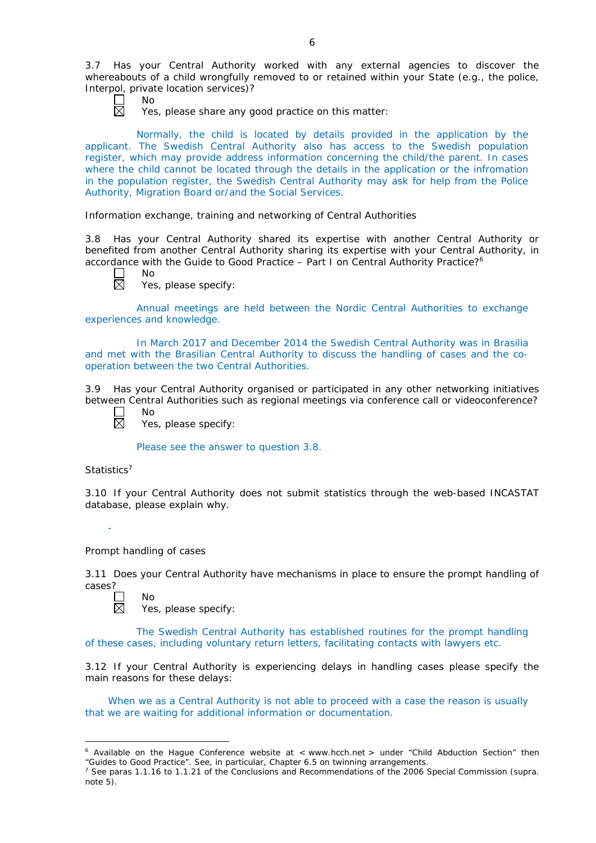3.7 Has your Central Authority worked with any external agencies to discover the whereabouts of a child wrongfully removed to or retained within your State (*e.g.*, the police, Interpol, private location services)?

No

Yes, please share any good practice on this matter:

Normally, the child is located by details provided in the application by the applicant. The Swedish Central Authority also has access to the Swedish population register, which may provide address information concerning the child/the parent. In cases where the child cannot be located through the details in the application or the infromation in the population register, the Swedish Central Authority may ask for help from the Police Authority, Migration Board or/and the Social Services.

*Information exchange, training and networking of Central Authorities*

3.8 Has your Central Authority shared its expertise with another Central Authority or benefited from another Central Authority sharing its expertise with your Central Authority, in accordance with the Guide to Good Practice – Part I on Central Authority Practice?6

| חמ |
|----|
| ٠  |

Yes, please specify:

Annual meetings are held between the Nordic Central Authorities to exchange experiences and knowledge.

In March 2017 and December 2014 the Swedish Central Authority was in Brasilia and met with the Brasilian Central Authority to discuss the handling of cases and the cooperation between the two Central Authorities.

3.9 Has your Central Authority organised or participated in any other networking initiatives between Central Authorities such as regional meetings via conference call or videoconference?

 $\Box$ No 岗

Yes, please specify:

Please see the answer to question 3.8.

*Statistics*<sup>7</sup>

-

-

3.10 If your Central Authority does not submit statistics through the web-based INCASTAT database, please explain why.

*Prompt handling of cases*

No

3.11 Does your Central Authority have mechanisms in place to ensure the prompt handling of cases?

反

Yes, please specify:

The Swedish Central Authority has established routines for the prompt handling of these cases, including voluntary return letters, facilitating contacts with lawyers etc.

3.12 If your Central Authority is experiencing delays in handling cases please specify the main reasons for these delays:

When we as a Central Authority is not able to proceed with a case the reason is usually that we are waiting for additional information or documentation.

 $6$  Available on the Hague Conference website at  $\lt$  www.hcch.net  $>$  under "Child Abduction Section" then "Guides to Good Practice". See, in particular, Chapter 6.5 on twinning arrangements.

<sup>7</sup> See paras 1.1.16 to 1.1.21 of the Conclusions and Recommendations of the 2006 Special Commission (*supra.*  note  $5$ ).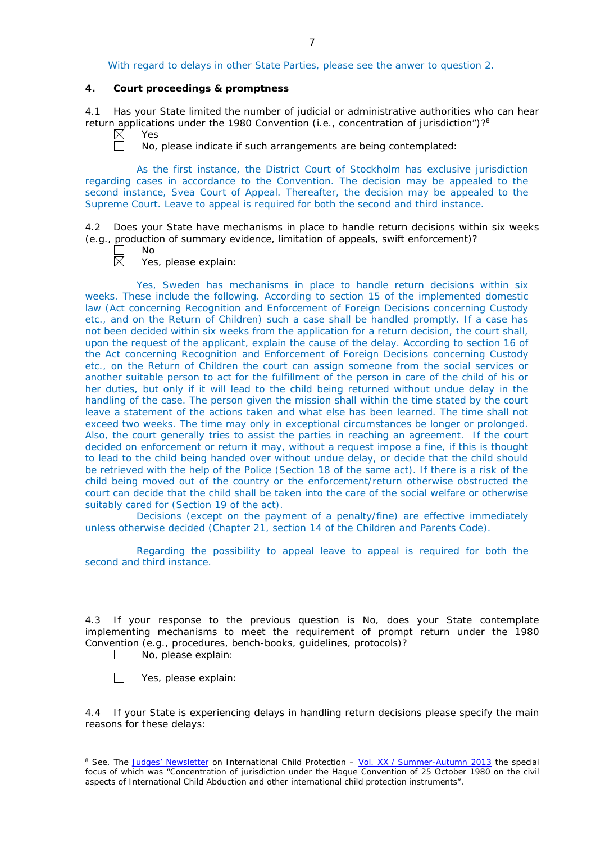With regard to delays in other State Parties, please see the anwer to question 2.

# **4. Court proceedings & promptness**

4.1 Has your State limited the number of judicial or administrative authorities who can hear return applications under the 1980 Convention (*i.e.*, concentration of jurisdiction")?8 Yes

 $\boxtimes$ 

No, please indicate if such arrangements are being contemplated:

As the first instance, the District Court of Stockholm has exclusive jurisdiction regarding cases in accordance to the Convention. The decision may be appealed to the second instance, Svea Court of Appeal. Thereafter, the decision may be appealed to the Supreme Court. Leave to appeal is required for both the second and third instance.

4.2 Does your State have mechanisms in place to handle return decisions within six weeks (*e.g.*, production of summary evidence, limitation of appeals, swift enforcement)?

No

Yes, please explain:

Yes, Sweden has mechanisms in place to handle return decisions within six weeks. These include the following. According to section 15 of the implemented domestic law (Act concerning Recognition and Enforcement of Foreign Decisions concerning Custody etc., and on the Return of Children) such a case shall be handled promptly. If a case has not been decided within six weeks from the application for a return decision, the court shall, upon the request of the applicant, explain the cause of the delay. According to section 16 of the Act concerning Recognition and Enforcement of Foreign Decisions concerning Custody etc., on the Return of Children the court can assign someone from the social services or another suitable person to act for the fulfillment of the person in care of the child of his or her duties, but only if it will lead to the child being returned without undue delay in the handling of the case. The person given the mission shall within the time stated by the court leave a statement of the actions taken and what else has been learned. The time shall not exceed two weeks. The time may only in exceptional circumstances be longer or prolonged. Also, the court generally tries to assist the parties in reaching an agreement. If the court decided on enforcement or return it may, without a request impose a fine, if this is thought to lead to the child being handed over without undue delay, or decide that the child should be retrieved with the help of the Police (Section 18 of the same act). If there is a risk of the child being moved out of the country or the enforcement/return otherwise obstructed the court can decide that the child shall be taken into the care of the social welfare or otherwise suitably cared for (Section 19 of the act).

Decisions (except on the payment of a penalty/fine) are effective immediately unless otherwise decided (Chapter 21, section 14 of the Children and Parents Code).

Regarding the possibility to appeal leave to appeal is required for both the second and third instance.

4.3 If your response to the previous question is No, does your State contemplate implementing mechanisms to meet the requirement of prompt return under the 1980 Convention (*e.g.*, procedures, bench-books, guidelines, protocols)?  $\Box$ 

No, please explain:

 $\Box$ Yes, please explain:

-

4.4 If your State is experiencing delays in handling return decisions please specify the main reasons for these delays:

<sup>8</sup> See, *The [Judges' Newsletter](https://www.hcch.net/en/instruments/conventions/publications2/judges-newsletter)* on International Child Protection – Vol. XX / [Summer-Autumn 2013](https://assets.hcch.net/upload/newsletter/nl2013tome20en.pdf) the special focus of which was "Concentration of jurisdiction under the *Hague Convention of 25 October 1980 on the civil aspects of International Child Abduction* and other international child protection instruments".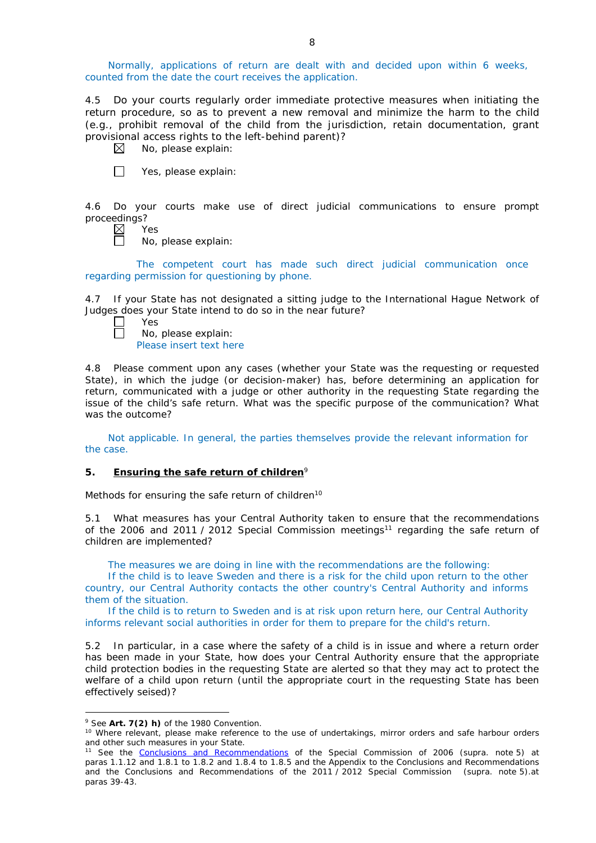Normally, applications of return are dealt with and decided upon within 6 weeks, counted from the date the court receives the application.

4.5 Do your courts regularly order immediate protective measures when initiating the return procedure, so as to prevent a new removal and minimize the harm to the child (*e.g.*, prohibit removal of the child from the jurisdiction, retain documentation, grant provisional access rights to the left-behind parent)?

 $\boxtimes$ No, please explain:

 $\Box$ Yes, please explain:

4.6 Do your courts make use of direct judicial communications to ensure prompt proceedings?<br>Proceedings?<br>N

Yes

No, please explain:

The competent court has made such direct judicial communication once regarding permission for questioning by phone.

4.7 If your State has not designated a sitting judge to the International Hague Network of Judges does your State intend to do so in the near future?

| Yes |
|-----|
| No, |

No, please explain: Please insert text here

4.8 Please comment upon any cases (whether your State was the requesting or requested State), in which the judge (or decision-maker) has, before determining an application for return, communicated with a judge or other authority in the requesting State regarding the issue of the child's safe return. What was the specific purpose of the communication? What was the outcome?

Not applicable. In general, the parties themselves provide the relevant information for the case.

## **5. Ensuring the safe return of children**<sup>9</sup>

*Methods for ensuring the safe return of children*<sup>10</sup>

5.1 What measures has your Central Authority taken to ensure that the recommendations of the 2006 and 2011 / 2012 Special Commission meetings<sup>11</sup> regarding the safe return of children are implemented?

The measures we are doing in line with the recommendations are the following:

If the child is to leave Sweden and there is a risk for the child upon return to the other country, our Central Authority contacts the other country's Central Authority and informs them of the situation.

If the child is to return to Sweden and is at risk upon return here, our Central Authority informs relevant social authorities in order for them to prepare for the child's return.

5.2 In particular, in a case where the safety of a child is in issue and where a return order has been made in your State, how does your Central Authority ensure that the appropriate child protection bodies in the *requesting* State are alerted so that they may act to protect the welfare of a child upon return (until the appropriate court in the requesting State has been effectively seised)?

<u>.</u>

<sup>9</sup> See **Art. 7(2)** *h)* of the 1980 Convention.

<sup>&</sup>lt;sup>10</sup> Where relevant, please make reference to the use of undertakings, mirror orders and safe harbour orders and other such measures in your State.

<sup>11</sup> See the [Conclusions and Recommendations](https://assets.hcch.net/upload/concl28sc5_e.pdf) of the Special Commission of 2006 (*supra.* note 5) at paras 1.1.12 and 1.8.1 to 1.8.2 and 1.8.4 to 1.8.5 and the Appendix to the Conclusions and Recommendations and the [Conclusions and Recommendations of the 2011](https://assets.hcch.net/upload/wop/concl28sc6_e.pdf) / 2012 Special Commission (*supra.* note 5).at paras 39-43.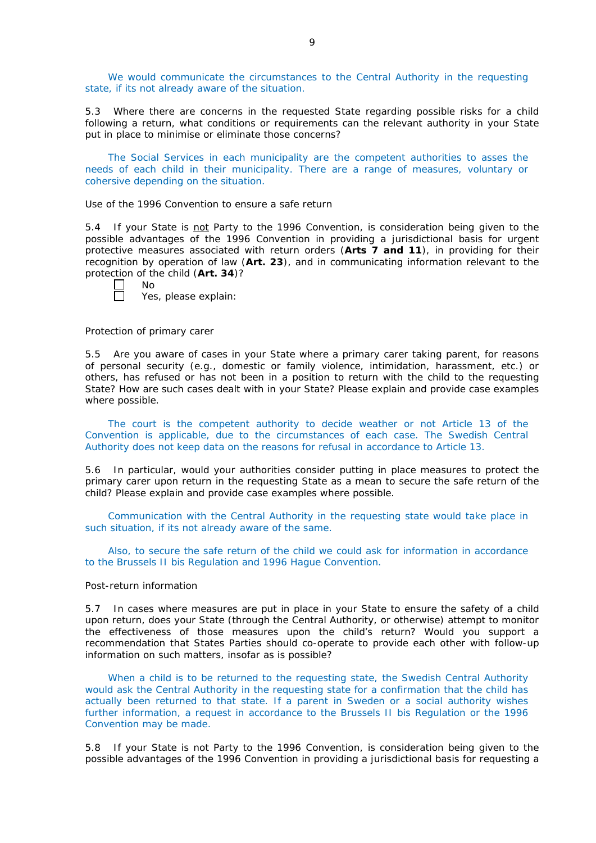We would communicate the circumstances to the Central Authority in the requesting state, if its not already aware of the situation.

5.3 Where there are concerns in the requested State regarding possible risks for a child following a return, what conditions or requirements can the relevant authority in your State put in place to minimise or eliminate those concerns?

The Social Services in each municipality are the competent authorities to asses the needs of each child in their municipality. There are a range of measures, voluntary or cohersive depending on the situation.

## *Use of the 1996 Convention to ensure a safe return*

5.4 If your State is not Party to the 1996 Convention, is consideration being given to the possible advantages of the 1996 Convention in providing a jurisdictional basis for urgent protective measures associated with return orders (**Arts 7 and 11**), in providing for their recognition by operation of law (**Art. 23**), and in communicating information relevant to the protection of the child (**Art. 34**)?

|  | ۰. |
|--|----|
|--|----|

П

Yes, please explain:

#### *Protection of primary carer*

5.5 Are you aware of cases in your State where a primary carer taking parent, for reasons of personal security (*e.g.*, domestic or family violence, intimidation, harassment, etc.) or others, has refused or has not been in a position to return with the child to the requesting State? How are such cases dealt with in your State? Please explain and provide case examples where possible.

The court is the competent authority to decide weather or not Article 13 of the Convention is applicable, due to the circumstances of each case. The Swedish Central Authority does not keep data on the reasons for refusal in accordance to Article 13.

5.6 In particular, would your authorities consider putting in place measures to protect the primary carer upon return in the requesting State as a mean to secure the safe return of the child? Please explain and provide case examples where possible.

Communication with the Central Authority in the requesting state would take place in such situation, if its not already aware of the same.

Also, to secure the safe return of the child we could ask for information in accordance to the Brussels II bis Regulation and 1996 Hague Convention.

### *Post-return information*

5.7 In cases where measures are put in place in your State to ensure the safety of a child upon return, does your State (through the Central Authority, or otherwise) attempt to monitor the effectiveness of those measures upon the child's return? Would you support a recommendation that States Parties should co-operate to provide each other with follow-up information on such matters, insofar as is possible?

When a child is to be returned to the requesting state, the Swedish Central Authority would ask the Central Authority in the requesting state for a confirmation that the child has actually been returned to that state. If a parent in Sweden or a social authority wishes further information, a request in accordance to the Brussels II bis Regulation or the 1996 Convention may be made.

5.8 If your State is not Party to the 1996 Convention, is consideration being given to the possible advantages of the 1996 Convention in providing a jurisdictional basis for requesting a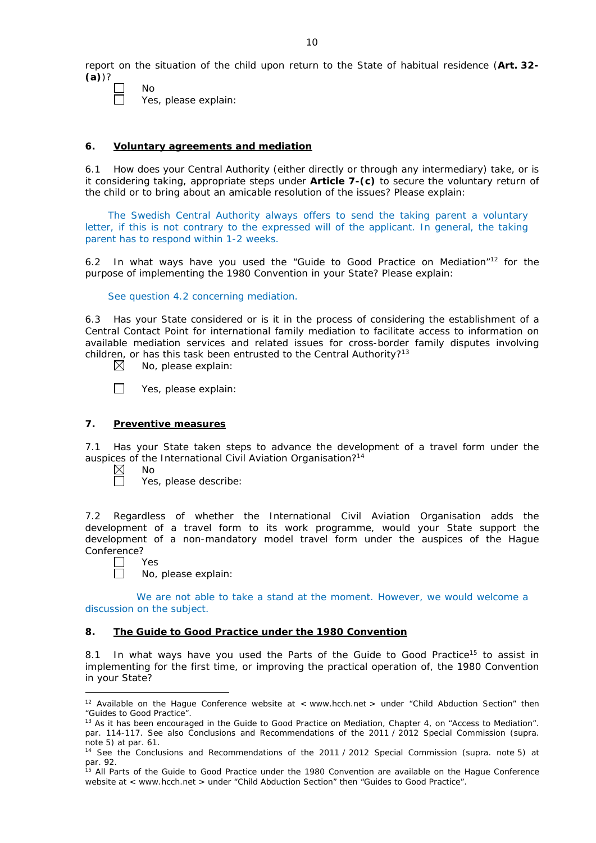report on the situation of the child upon return to the State of habitual residence (**Art. 32- (a)**)?

П

No

Yes, please explain:

## **6. Voluntary agreements and mediation**

6.1 How does your Central Authority (either directly or through any intermediary) take, or is it considering taking, appropriate steps under **Article 7-(c)** to secure the voluntary return of the child or to bring about an amicable resolution of the issues? Please explain:

The Swedish Central Authority always offers to send the taking parent a voluntary letter, if this is not contrary to the expressed will of the applicant. In general, the taking parent has to respond within 1-2 weeks.

6.2 In what ways have you used the "Guide to Good Practice on Mediation"12 for the purpose of implementing the 1980 Convention in your State? Please explain:

See question 4.2 concerning mediation.

6.3 Has your State considered or is it in the process of considering the establishment of a Central Contact Point for international family mediation to facilitate access to information on available mediation services and related issues for cross-border family disputes involving children, or has this task been entrusted to the Central Authority?<sup>13</sup>

 $\boxtimes$ No, please explain:

П Yes, please explain:

## **7. Preventive measures**

7.1 Has your State taken steps to advance the development of a travel form under the auspices of the International Civil Aviation Organisation?<sup>14</sup>

 $\boxtimes$ No  $\Box$ 

Yes, please describe:

7.2 Regardless of whether the International Civil Aviation Organisation adds the development of a travel form to its work programme, would your State support the development of a non-mandatory model travel form under the auspices of the Hague Conference?

Yes

<u>.</u>

No, please explain:

We are not able to take a stand at the moment. However, we would welcome a discussion on the subject.

## **8. The Guide to Good Practice under the 1980 Convention**

8.1 In what ways have you used the Parts of the Guide to Good Practice<sup>15</sup> to assist in implementing for the first time, or improving the practical operation of, the 1980 Convention in your State?

<sup>&</sup>lt;sup>12</sup> Available on the Hague Conference website at < www.hcch.net > under "Child Abduction Section" then "Guides to Good Practice".

<sup>&</sup>lt;sup>13</sup> As it has been encouraged in the Guide to Good Practice on Mediation, Chapter 4, on "Access to Mediation". par. 114-117. See also [Conclusions and Recommendations of the 2011](https://assets.hcch.net/upload/wop/concl28sc6_e.pdf) / 2012 Special Commission (*supra.* note 5) at par. 61.

<sup>14</sup> See the [Conclusions and Recommendations of the 2011](https://assets.hcch.net/upload/wop/concl28sc6_e.pdf) / 2012 Special Commission (*supra.* note 5) at par. 92.

<sup>&</sup>lt;sup>15</sup> All Parts of the Guide to Good Practice under the 1980 Convention are available on the Hague Conference website at < www.hcch.net > under "Child Abduction Section" then "Guides to Good Practice".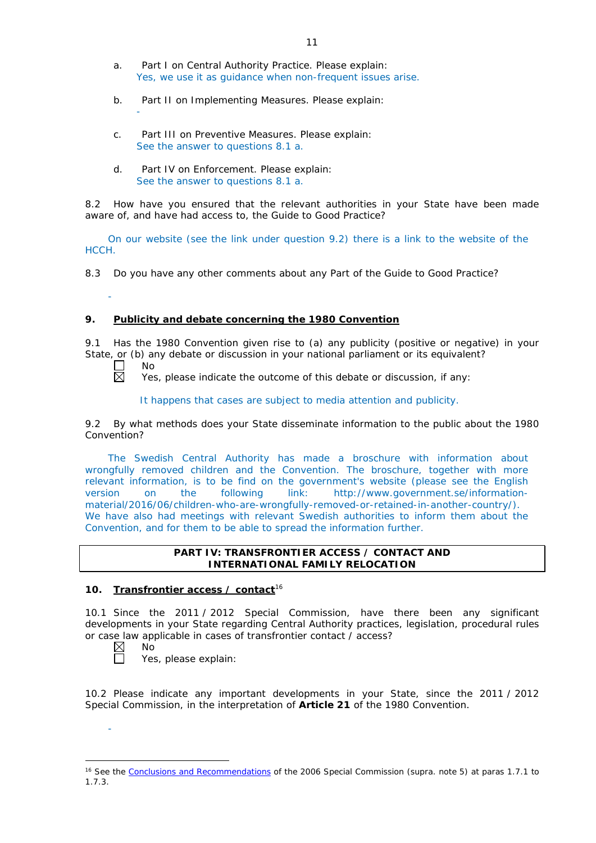- a. Part I on Central Authority Practice. Please explain: Yes, we use it as guidance when non-frequent issues arise.
- b. Part II on Implementing Measures. Please explain:
- c. Part III on Preventive Measures. Please explain: See the answer to questions 8.1 a.
- d. Part IV on Enforcement. Please explain: See the answer to questions 8.1 a.

8.2 How have you ensured that the relevant authorities in your State have been made aware of, and have had access to, the Guide to Good Practice?

On our website (see the link under question 9.2) there is a link to the website of the HCCH.

8.3 Do you have any other comments about any Part of the Guide to Good Practice?

## **9. Publicity and debate concerning the 1980 Convention**

9.1 Has the 1980 Convention given rise to (a) any publicity (positive or negative) in your State, or (b) any debate or discussion in your national parliament or its equivalent?<br>  $\Box$  No<br>  $\boxtimes$  Yes. please indicate the outcome of this debate or discussion. if any:

No

-

-

Yes, please indicate the outcome of this debate or discussion, if any:

It happens that cases are subject to media attention and publicity.

9.2 By what methods does your State disseminate information to the public about the 1980 Convention?

The Swedish Central Authority has made a broschure with information about wrongfully removed children and the Convention. The broschure, together with more relevant information, is to be find on the government's website (please see the English version on the following link: http://www.government.se/informationmaterial/2016/06/children-who-are-wrongfully-removed-or-retained-in-another-country/). We have also had meetings with relevant Swedish authorities to inform them about the Convention, and for them to be able to spread the information further.

## **PART IV: TRANSFRONTIER ACCESS / CONTACT AND INTERNATIONAL FAMILY RELOCATION**

## **10. Transfrontier access / contact**<sup>16</sup>

10.1 Since the 2011 / 2012 Special Commission, have there been any significant developments in your State regarding Central Authority practices, legislation, procedural rules or case law applicable in cases of transfrontier contact / access?<br>  $\boxtimes$  No<br>
Yes. please explain:

No

-

-

Yes, please explain:

10.2 Please indicate any important developments in your State, since the 2011 / 2012 Special Commission, in the interpretation of **Article 21** of the 1980 Convention.

<sup>16</sup> See the [Conclusions and Recommendations](https://assets.hcch.net/upload/concl28sc5_e.pdf) of the 2006 Special Commission (*supra.* note 5) at paras 1.7.1 to 1.7.3.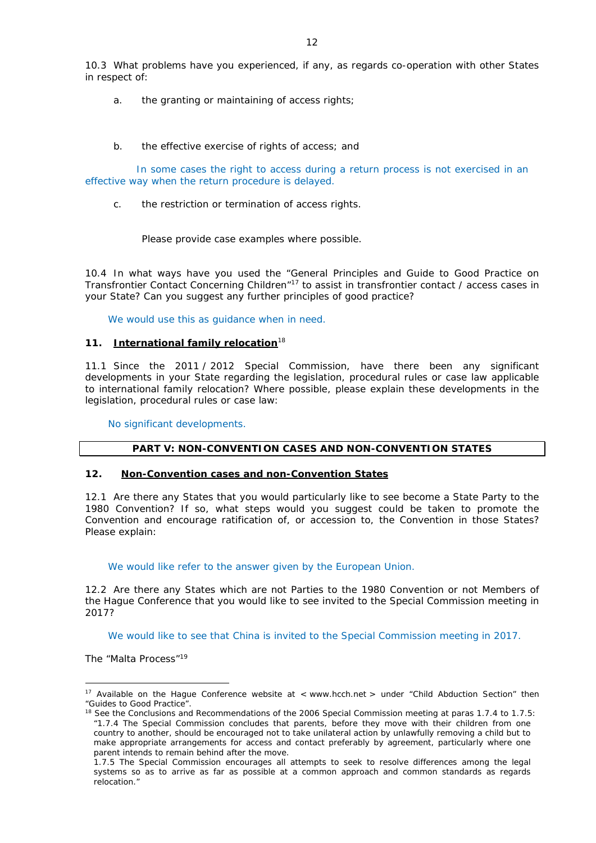10.3 What problems have you experienced, if any, as regards co-operation with other States in respect of:

- a. the granting or maintaining of access rights;
- b. the effective exercise of rights of access; and

In some cases the right to access during a return process is not exercised in an effective way when the return procedure is delayed.

c. the restriction or termination of access rights.

Please provide case examples where possible.

10.4 In what ways have you used the "General Principles and Guide to Good Practice on Transfrontier Contact Concerning Children"17 to assist in transfrontier contact / access cases in your State? Can you suggest any further principles of good practice?

We would use this as quidance when in need.

### **11. International family relocation**<sup>18</sup>

11.1 Since the 2011 / 2012 Special Commission, have there been any significant developments in your State regarding the legislation, procedural rules or case law applicable to international family relocation? Where possible, please explain these developments in the legislation, procedural rules or case law:

No significant developments.

## **PART V: NON-CONVENTION CASES AND NON-CONVENTION STATES**

#### **12. Non-Convention cases and non-Convention States**

12.1 Are there any States that you would particularly like to see become a State Party to the 1980 Convention? If so, what steps would you suggest could be taken to promote the Convention and encourage ratification of, or accession to, the Convention in those States? Please explain:

### We would like refer to the answer given by the European Union.

12.2 Are there any States which are not Parties to the 1980 Convention or not Members of the Hague Conference that you would like to see invited to the Special Commission meeting in 2017?

We would like to see that China is invited to the Special Commission meeting in 2017.

*The "Malta Process"*<sup>19</sup>

<u>.</u>

<sup>&</sup>lt;sup>17</sup> Available on the Hague Conference website at < www.hcch.net > under "Child Abduction Section" then "Guides to Good Practice".

<sup>&</sup>lt;sup>18</sup> See the Conclusions and Recommendations of the 2006 Special Commission meeting at paras 1.7.4 to 1.7.5: *"*1.7.4 The Special Commission concludes that parents, before they move with their children from one country to another, should be encouraged not to take unilateral action by unlawfully removing a child but to make appropriate arrangements for access and contact preferably by agreement, particularly where one parent intends to remain behind after the move.

<sup>1.7.5</sup> The Special Commission encourages all attempts to seek to resolve differences among the legal systems so as to arrive as far as possible at a common approach and common standards as regards relocation."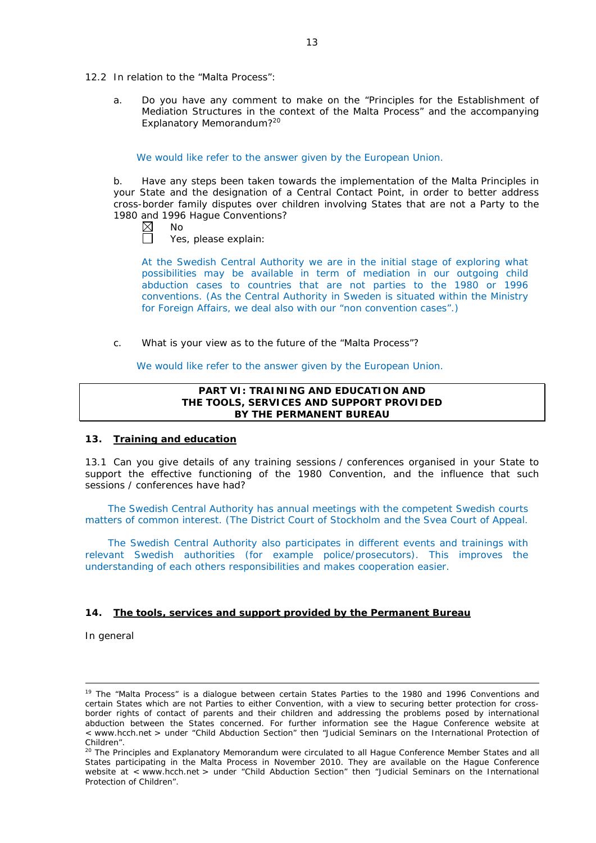- 12.2 In relation to the "Malta Process":
	- a. Do you have any comment to make on the "Principles for the Establishment of Mediation Structures in the context of the Malta Process" and the accompanying Explanatory Memorandum?20

We would like refer to the answer given by the European Union.

b. Have any steps been taken towards the implementation of the Malta Principles in your State and the designation of a Central Contact Point, in order to better address cross-border family disputes over children involving States that are not a Party to the 1980 and 1996 Hague Conventions?

| Nο |
|----|
|    |

Yes, please explain:

At the Swedish Central Authority we are in the initial stage of exploring what possibilities may be available in term of mediation in our outgoing child abduction cases to countries that are not parties to the 1980 or 1996 conventions. (As the Central Authority in Sweden is situated within the Ministry for Foreign Affairs, we deal also with our "non convention cases".)

c. What is your view as to the future of the "Malta Process"?

We would like refer to the answer given by the European Union.

### **PART VI: TRAINING AND EDUCATION AND THE TOOLS, SERVICES AND SUPPORT PROVIDED BY THE PERMANENT BUREAU**

#### **13. Training and education**

13.1 Can you give details of any training sessions / conferences organised in your State to support the effective functioning of the 1980 Convention, and the influence that such sessions / conferences have had?

The Swedish Central Authority has annual meetings with the competent Swedish courts matters of common interest. (The District Court of Stockholm and the Svea Court of Appeal.

The Swedish Central Authority also participates in different events and trainings with relevant Swedish authorities (for example police/prosecutors). This improves the understanding of each others responsibilities and makes cooperation easier.

## **14. The tools, services and support provided by the Permanent Bureau**

*In general*

<u>.</u>

<sup>&</sup>lt;sup>19</sup> The "Malta Process" is a dialogue between certain States Parties to the 1980 and 1996 Conventions and certain States which are not Parties to either Convention, with a view to securing better protection for crossborder rights of contact of parents and their children and addressing the problems posed by international abduction between the States concerned. For further information see the Hague Conference website at < www.hcch.net > under "Child Abduction Section" then "Judicial Seminars on the International Protection of Children".

<sup>20</sup> The Principles and Explanatory Memorandum were circulated to all Hague Conference Member States and all States participating in the Malta Process in November 2010. They are available on the Hague Conference website at < www.hcch.net > under "Child Abduction Section" then "Judicial Seminars on the International Protection of Children".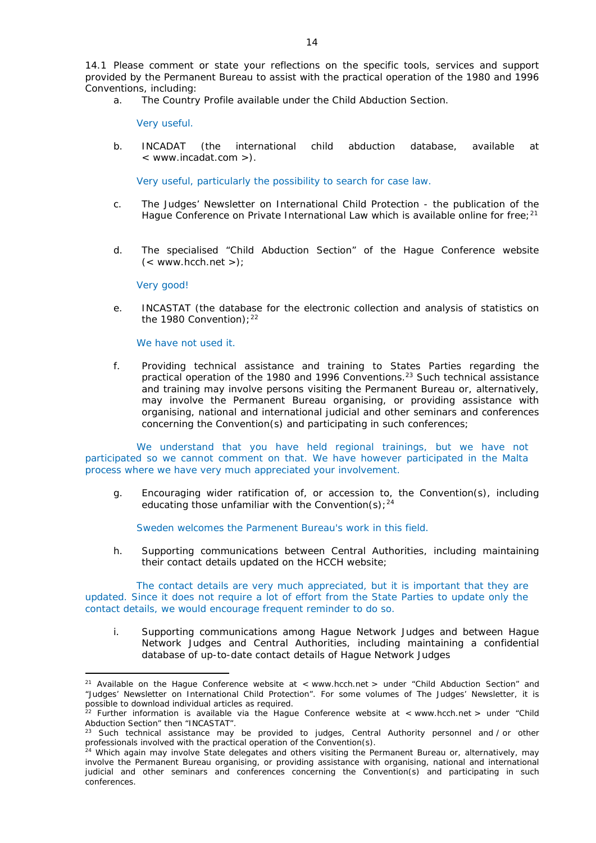14.1 Please comment or state your reflections on the specific tools, services and support provided by the Permanent Bureau to assist with the practical operation of the 1980 and 1996 Conventions, including:

a. The Country Profile available under the Child Abduction Section.

Very useful.

b. INCADAT (the international child abduction database, available at < www.incadat.com >).

Very useful, particularly the possibility to search for case law.

- c. *The Judges' Newsletter* on International Child Protection the publication of the Hague Conference on Private International Law which is available online for free;<sup>21</sup>
- d. The specialised "Child Abduction Section" of the Hague Conference website  $(<$  www.hcch.net >);

Very good!

<u>.</u>

e. INCASTAT (the database for the electronic collection and analysis of statistics on the 1980 Convention):  $22$ 

We have not used it.

f. Providing technical assistance and training to States Parties regarding the practical operation of the 1980 and 1996 Conventions.<sup>23</sup> Such technical assistance and training may involve persons visiting the Permanent Bureau or, alternatively, may involve the Permanent Bureau organising, or providing assistance with organising, national and international judicial and other seminars and conferences concerning the Convention(s) and participating in such conferences;

We understand that you have held regional trainings, but we have not participated so we cannot comment on that. We have however participated in the Malta process where we have very much appreciated your involvement.

g. Encouraging wider ratification of, or accession to, the Convention(s), including educating those unfamiliar with the Convention(s);  $24$ 

Sweden welcomes the Parmenent Bureau's work in this field.

h. Supporting communications between Central Authorities, including maintaining their contact details updated on the HCCH website;

The contact details are very much appreciated, but it is important that they are updated. Since it does not require a lot of effort from the State Parties to update only the contact details, we would encourage frequent reminder to do so.

i. Supporting communications among Hague Network Judges and between Hague Network Judges and Central Authorities, including maintaining a confidential database of up-to-date contact details of Hague Network Judges

<sup>&</sup>lt;sup>21</sup> Available on the Hague Conference website at < www.hcch.net > under "Child Abduction Section" and "Judges' Newsletter on International Child Protection". For some volumes of *The Judges' Newsletter*, it is possible to download individual articles as required.

<sup>&</sup>lt;sup>22</sup> Further information is available via the Hague Conference website at < www.hcch.net > under "Child Abduction Section" then "INCASTAT".

<sup>23</sup> Such technical assistance may be provided to judges, Central Authority personnel and / or other professionals involved with the practical operation of the Convention(s).

<sup>&</sup>lt;sup>24</sup> Which again may involve State delegates and others visiting the Permanent Bureau or, alternatively, may involve the Permanent Bureau organising, or providing assistance with organising, national and international judicial and other seminars and conferences concerning the Convention(s) and participating in such conferences.